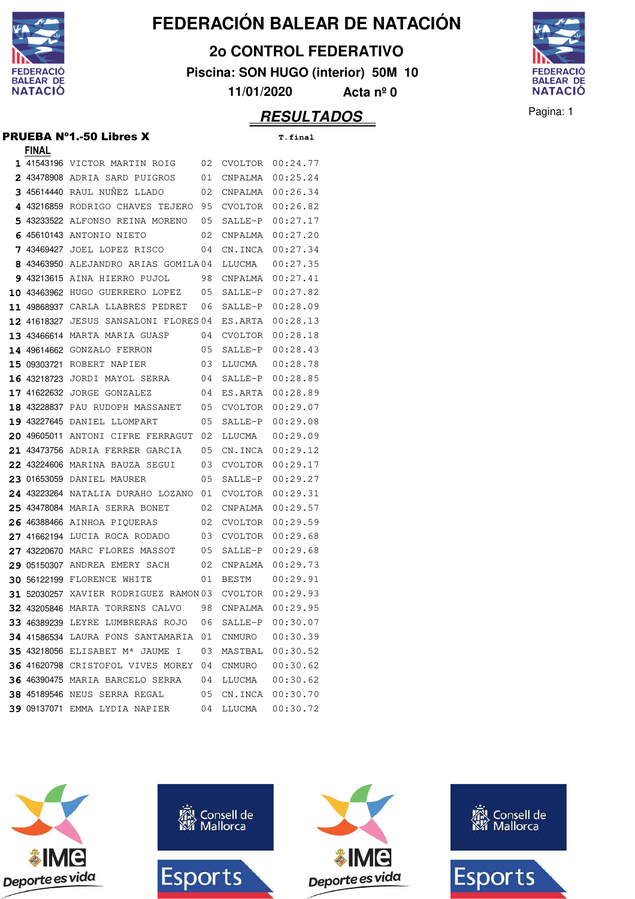

**2o CONTROL FEDERATIVO**

**Piscina: SON HUGO (interior) 50M 10**

**11/01/2020 Acta nº 0**



**RESULTADOS** Pagina: 1

#### PRUEBA Nº1.-50 Libres X **T.final**

| <b>FINAL</b>  |                                                      |    |                |                  |
|---------------|------------------------------------------------------|----|----------------|------------------|
|               | 1 41543196 VICTOR MARTIN ROIG                        | 02 | CVOLTOR        | 00:24.77         |
|               | 2 43478908 ADRIA SARD PUIGROS                        | 01 | CNPALMA        | 00:25.24         |
|               | 3 45614440 RAUL NUNEZ LLADO                          | 02 | CNPALMA        | 00:26.34         |
|               | 4 43216859 RODRIGO CHAVES TEJERO                     | 95 | CVOLTOR        | 00:26.82         |
| 5.            | 43233522 ALFONSO REINA MORENO                        | 05 | SALLE-P        | 00:27.17         |
|               | 45610143 ANTONIO NIETO                               | 02 | CNPALMA        | 00:27.20         |
| 7<br>43469427 | JOEL LOPEZ RISCO                                     | 04 | CN.INCA        | 00:27.34         |
| 8             | 43463950 ALEJANDRO ARIAS GOMILA04                    |    | LLUCMA         | 00:27.35         |
|               | 9 43213615 AINA HIERRO PUJOL                         | 98 | CNPALMA        | 00:27.41         |
| 10 43463962   | HUGO GUERRERO LOPEZ                                  | 05 | SALLE-P        | 00:27.82         |
| 11 49868937   | CARLA LLABRES PEDRET                                 | 06 | SALLE-P        | 00:28.09         |
| 12 41618327   | <b>JESUS SANSALONI FLORES 04</b>                     |    | ES.ARTA        | 00:28.13         |
|               | 13 43466614 MARTA MARIA GUASP                        | 04 | CVOLTOR        | 00:28.18         |
|               | 14 49614662 GONZALO FERRON                           | 05 | SALLE-P        | 00:28.43         |
| 15 09303721   | ROBERT NAPIER                                        | 03 | LLUCMA         | 00:28.78         |
| 16 43218723   | JORDI MAYOL SERRA                                    | 04 | SALLE-P        | 00:28.85         |
|               | 17 41622632 JORGE GONZALEZ                           | 04 | ES.ARTA        | 00:28.89         |
| 18 43228837   | PAU RUDOPH MASSANET                                  | 05 | CVOLTOR        | 00:29.07         |
| 19 43227645   | DANIEL LLOMPART                                      | 05 | SALLE-P        | 00:29.08         |
| 20 49605011   | ANTONI CIFRE FERRAGUT                                | 02 | LLUCMA         | 00:29.09         |
|               | 21 43473756 ADRIA FERRER GARCIA                      | 05 | CN.INCA        | 00:29.12         |
|               | 22 43224606 MARINA BAUZA SEGUI                       | 03 | CVOLTOR        | 00:29.17         |
|               | 23 01653059 DANIEL MAURER                            | 05 | SALLE-P        | 00:29.27         |
|               | 24 43223264 NATALIA DURAHO LOZANO                    | 01 | CVOLTOR        | 00:29.31         |
|               | 25 43478084 MARIA SERRA BONET                        | 02 | CNPALMA        | 00:29.57         |
| 26 46388466   | AINHOA PIOUERAS                                      | 02 | CVOLTOR        | 00:29.59         |
| 27 41662194   | LUCIA ROCA RODADO                                    | 03 | CVOLTOR        | 00:29.68         |
| 27 43220670   | MARC FLORES MASSOT                                   | 05 | SALLE-P        | 00:29.68         |
|               | 29 05150307 ANDREA EMERY SACH                        | 02 | CNPALMA        | 00:29.73         |
|               | <b>30 56122199 FLORENCE WHITE</b>                    | 01 | <b>BESTM</b>   | 00:29.91         |
|               | 31 52030257 XAVIER RODRIGUEZ RAMON 03                |    | <b>CVOLTOR</b> | 00:29.93         |
|               | 32 43205846 MARTA TORRENS CALVO                      | 98 | CNPALMA        | 00:29.95         |
|               | 33 46389239 LEYRE LUMBRERAS ROJO 06 SALLE-P 00:30.07 |    |                |                  |
|               | 34 41586534 LAURA PONS SANTAMARIA 01 CNMURO          |    |                | 00:30.39         |
|               | 35 43218056 ELISABET M <sup>a</sup> JAUME I          | 03 |                | MASTBAL 00:30.52 |
|               | 36 41620798 CRISTOFOL VIVES MOREY                    | 04 | CNMURO         | 00:30.62         |
|               | 36 46390475 MARIA BARCELO SERRA                      | 04 | LLUCMA         | 00:30.62         |
|               | <b>38 45189546 NEUS SERRA REGAL</b>                  | 05 |                | CN.INCA 00:30.70 |
|               | 39 09137071 EMMA LYDIA NAPIER                        | 04 | LLUCMA         | 00:30.72         |







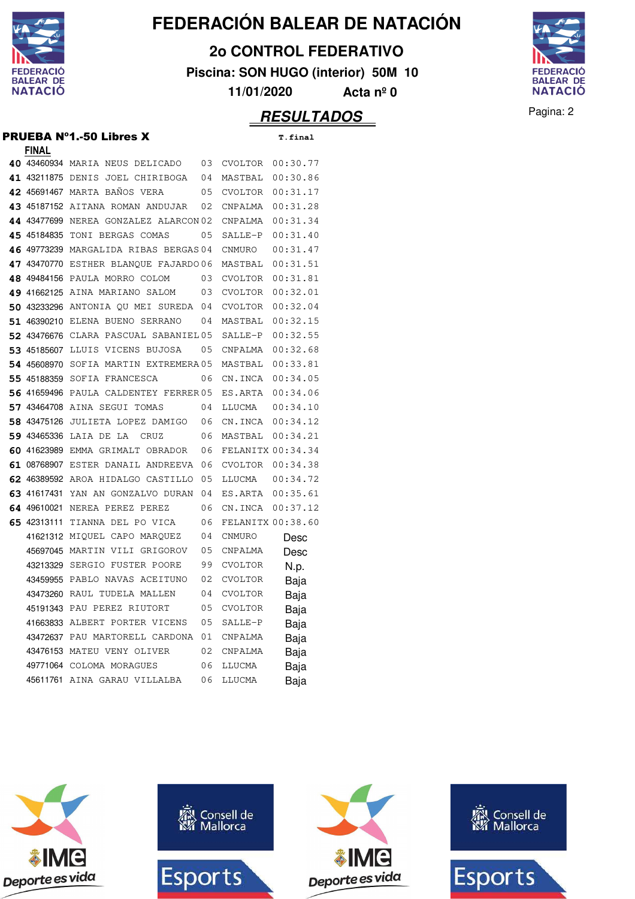

**2o CONTROL FEDERATIVO**

**Piscina: SON HUGO (interior) 50M 10**

**11/01/2020 Acta nº 0**

#### Pagina: 2 **RESULTADOS**



#### PRUEBA Nº1.-50 Libres X **T.final FINAL**

|  | T.fina |  |
|--|--------|--|
|  |        |  |

| <u>LIIAHT</u> |                                       |    |                   |          |
|---------------|---------------------------------------|----|-------------------|----------|
|               | 40 43460934 MARIA NEUS DELICADO       | 03 | CVOLTOR           | 00:30.77 |
|               | 41 43211875 DENIS JOEL CHIRIBOGA      | 04 | MASTBAL           | 00:30.86 |
|               | 42 45691467 MARTA BAÑOS VERA          | 05 | CVOLTOR           | 00:31.17 |
|               | 43 45187152 AITANA ROMAN ANDUJAR      | 02 | CNPALMA           | 00:31.28 |
|               | 44 43477699 NEREA GONZALEZ ALARCON 02 |    | CNPALMA           | 00:31.34 |
|               | 45 45184835 TONI BERGAS COMAS         | 05 | SALLE-P           | 00:31.40 |
|               | 46 49773239 MARGALIDA RIBAS BERGAS 04 |    | CNMURO            | 00:31.47 |
|               | 47 43470770 ESTHER BLANQUE FAJARDO 06 |    | MASTBAL           | 00:31.51 |
|               | 48 49484156 PAULA MORRO COLOM         | 03 | CVOLTOR           | 00:31.81 |
|               | 49 41662125 AINA MARIANO SALOM        | 03 | CVOLTOR           | 00:32.01 |
|               | 50 43233296 ANTONIA OU MEI SUREDA 04  |    | CVOLTOR           | 00:32.04 |
|               | 51 46390210 ELENA BUENO SERRANO       | 04 | MASTBAL           | 00:32.15 |
|               | 52 43476676 CLARA PASCUAL SABANIEL 05 |    | SALLE-P           | 00:32.55 |
|               | 53 45185607 LLUIS VICENS BUJOSA       | 05 | CNPALMA           | 00:32.68 |
|               | 54 45608970 SOFIA MARTIN EXTREMERA 05 |    | MASTBAL           | 00:33.81 |
|               | 55 45188359 SOFIA FRANCESCA           | 06 | CN.INCA           | 00:34.05 |
|               | 56 41659496 PAULA CALDENTEY FERRER 05 |    | ES.ARTA           | 00:34.06 |
|               | 57 43464708 AINA SEGUI TOMAS          | 04 | LLUCMA            | 00:34.10 |
|               | 58 43475126 JULIETA LOPEZ DAMIGO      | 06 | CN.INCA           | 00:34.12 |
|               | 59 43465336 LAIA DE LA<br>CRUZ        | 06 | MASTBAL           | 00:34.21 |
|               | 60 41623989 EMMA GRIMALT OBRADOR      | 06 | FELANITX 00:34.34 |          |
|               | 61 08768907 ESTER DANAIL ANDREEVA 06  |    | CVOLTOR           | 00:34.38 |
|               | 62 46389592 AROA HIDALGO CASTILLO     | 05 | LLUCMA            | 00:34.72 |
|               | 63 41617431 YAN AN GONZALVO DURAN 04  |    | ES.ARTA           | 00:35.61 |
|               | 64 49610021 NEREA PEREZ PEREZ         | 06 | CN.INCA           | 00:37.12 |
|               | 65 42313111 TIANNA DEL PO VICA        | 06 | FELANITX 00:38.60 |          |
|               | 41621312 MIQUEL CAPO MARQUEZ          | 04 | CNMURO            | Desc     |
|               | 45697045 MARTIN VILI GRIGOROV         | 05 | CNPALMA           | Desc     |
|               | 43213329 SERGIO FUSTER POORE          | 99 | <b>CVOLTOR</b>    | N.p.     |
|               | 43459955 PABLO NAVAS ACEITUNO         | 02 | CVOLTOR           | Baja     |
|               | 43473260 RAUL TUDELA MALLEN           | 04 | CVOLTOR           | Baja     |
|               | 45191343 PAU PEREZ RIUTORT            | 05 | CVOLTOR           | Baja     |
|               | 41663833 ALBERT PORTER VICENS         | 05 | SALLE-P           | Baja     |
|               | 43472637 PAU MARTORELL CARDONA        | 01 | CNPALMA           | Baja     |
|               | 43476153 MATEU VENY OLIVER            | 02 | CNPALMA           | Baja     |
|               | 49771064 COLOMA MORAGUES              | 06 | LLUCMA            | Baja     |
|               | 45611761 AINA GARAU VILLALBA          | 06 | LLUCMA            | Baja     |







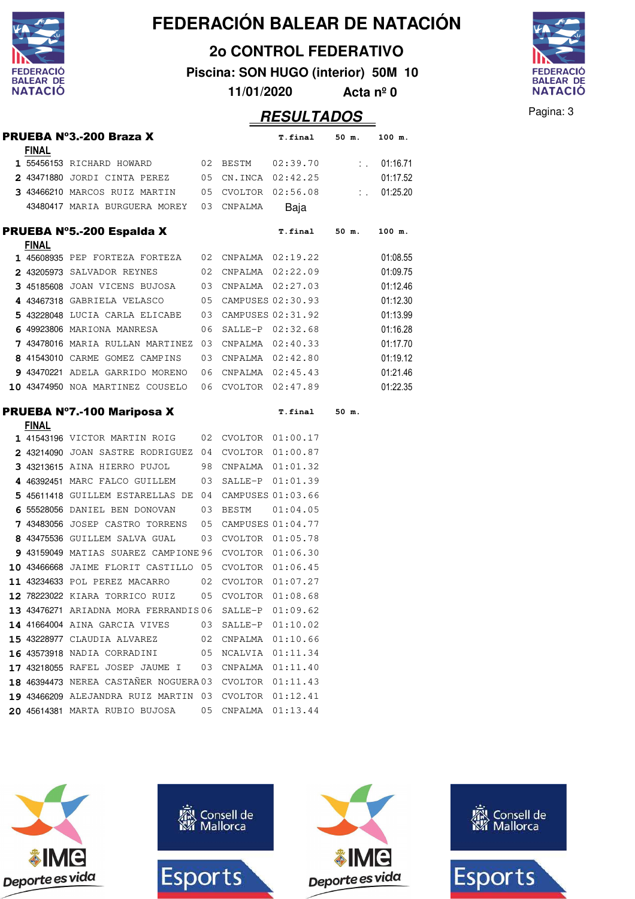

**2o CONTROL FEDERATIVO**

**Piscina: SON HUGO (interior) 50M 10 11/01/2020 Acta nº 0**



|     |              |                                                       |    |                      | <b>RESULTADOS</b>                                    |                  |          | Pagina: 3 |
|-----|--------------|-------------------------------------------------------|----|----------------------|------------------------------------------------------|------------------|----------|-----------|
|     | <b>FINAL</b> | PRUEBA Nº3.-200 Braza X                               |    |                      | T.final                                              | 50 m.            | 100 m.   |           |
|     |              | 1 55456153 RICHARD HOWARD                             |    | 02 BESTM             | 02:39.70                                             | $\mathbb{Z}^n$ . | 01:16.71 |           |
|     |              | 2 43471880 JORDI CINTA PEREZ                          |    | 05 CN.INCA 02:42.25  |                                                      |                  | 01:17.52 |           |
|     |              | 3 43466210 MARCOS RUIZ MARTIN                         |    | 05 CVOLTOR 02:56.08  |                                                      | t in             | 01:25.20 |           |
|     |              | 43480417 MARIA BURGUERA MOREY                         |    | 03 CNPALMA           | Baja                                                 |                  |          |           |
|     |              | PRUEBA Nº5.-200 Espalda X                             |    |                      | <b>T.final</b>                                       | 50 m.            | 100 m.   |           |
|     | <u>FINAL</u> |                                                       |    |                      |                                                      |                  |          |           |
|     |              | <b>1</b> 45608935 PEP FORTEZA FORTEZA                 |    | 02 CNPALMA 02:19.22  |                                                      |                  | 01:08.55 |           |
|     |              | 2 43205973 SALVADOR REYNES                            |    | 02 CNPALMA 02:22.09  |                                                      |                  | 01:09.75 |           |
|     |              | 3 45185608 JOAN VICENS BUJOSA                         |    | 03 CNPALMA 02:27.03  |                                                      |                  | 01:12.46 |           |
|     |              | 4 43467318 GABRIELA VELASCO                           |    | 05 CAMPUSES 02:30.93 |                                                      |                  | 01:12.30 |           |
|     |              | 5 43228048 LUCIA CARLA ELICABE                        |    | 03 CAMPUSES 02:31.92 |                                                      |                  | 01:13.99 |           |
|     |              | 6 49923806 MARIONA MANRESA                            | 06 |                      | SALLE-P 02:32.68                                     |                  | 01:16.28 |           |
|     |              | 7 43478016 MARIA RULLAN MARTINEZ                      | 03 |                      | CNPALMA 02:40.33                                     |                  | 01:17.70 |           |
|     |              | 8 41543010 CARME GOMEZ CAMPINS                        |    | 03 CNPALMA 02:42.80  |                                                      |                  | 01:19.12 |           |
|     |              | 9 43470221 ADELA GARRIDO MORENO                       | 06 |                      | CNPALMA 02:45.43                                     |                  | 01:21.46 |           |
|     |              | 10 43474950 NOA MARTINEZ COUSELO                      |    | 06 CVOLTOR 02:47.89  |                                                      |                  | 01:22.35 |           |
|     | <b>FINAL</b> | <b>PRUEBA N°7.-100 Mariposa X</b>                     |    |                      | T.final                                              | 50 m.            |          |           |
|     |              | 1 41543196 VICTOR MARTIN ROIG                         |    | 02 CVOLTOR 01:00.17  |                                                      |                  |          |           |
|     |              | 2 43214090 JOAN SASTRE RODRIGUEZ 04 CVOLTOR 01:00.87  |    |                      |                                                      |                  |          |           |
|     |              | 3 43213615 AINA HIERRO PUJOL                          |    | 98 CNPALMA 01:01.32  |                                                      |                  |          |           |
|     |              | 4 46392451 MARC FALCO GUILLEM                         | 03 |                      | SALLE-P 01:01.39                                     |                  |          |           |
|     |              | 5 45611418 GUILLEM ESTARELLAS DE                      | 04 |                      | CAMPUSES 01:03.66                                    |                  |          |           |
|     |              | 6 55528056 DANIEL BEN DONOVAN                         |    | 03 BESTM             | 01:04.05                                             |                  |          |           |
|     |              | 7 43483056 JOSEP CASTRO TORRENS                       |    | 05 CAMPUSES 01:04.77 |                                                      |                  |          |           |
|     |              | 8 43475536 GUILLEM SALVA GUAL                         |    | 03 CVOLTOR 01:05.78  |                                                      |                  |          |           |
|     |              | 9 43159049 MATIAS SUAREZ CAMPIONE 96                  |    | CVOLTOR 01:06.30     |                                                      |                  |          |           |
|     |              | 10 43466668 JAIME FLORIT CASTILLO 05 CVOLTOR 01:06.45 |    |                      |                                                      |                  |          |           |
|     |              | 11 43234633 POL PEREZ MACARRO                         | 02 |                      | CVOLTOR 01:07.27                                     |                  |          |           |
|     |              | 12 78223022 KIARA TORRICO RUIZ                        | 05 | CVOLTOR              | $01\textcolor{black}{:\,}08\textcolor{black}{.\,}68$ |                  |          |           |
|     |              | 13 43476271 ARIADNA MORA FERRANDIS 06                 |    | SALLE-P              | 01:09.62                                             |                  |          |           |
|     |              | 14 41664004 AINA GARCIA VIVES                         | 03 | SALLE-P              | 01:10.02                                             |                  |          |           |
| 15. |              | 43228977 CLAUDIA ALVAREZ                              | 02 | CNPALMA              | 01:10.66                                             |                  |          |           |
| 16  |              | 43573918 NADIA CORRADINI                              | 05 | NCALVIA              | 01:11.34                                             |                  |          |           |
| 17  |              | 43218055 RAFEL JOSEP JAUME I                          | 03 | CNPALMA              | 01:11.40                                             |                  |          |           |
|     |              | 18 46394473 NEREA CASTAÑER NOGUERA 03                 |    | CVOLTOR              | 01:11.43                                             |                  |          |           |
|     |              | 19 43466209 ALEJANDRA RUIZ MARTIN 03                  |    | CVOLTOR              | 01:12.41                                             |                  |          |           |
|     |              | 20 45614381 MARTA RUBIO BUJOSA                        | 05 | CNPALMA              | 01:13.44                                             |                  |          |           |







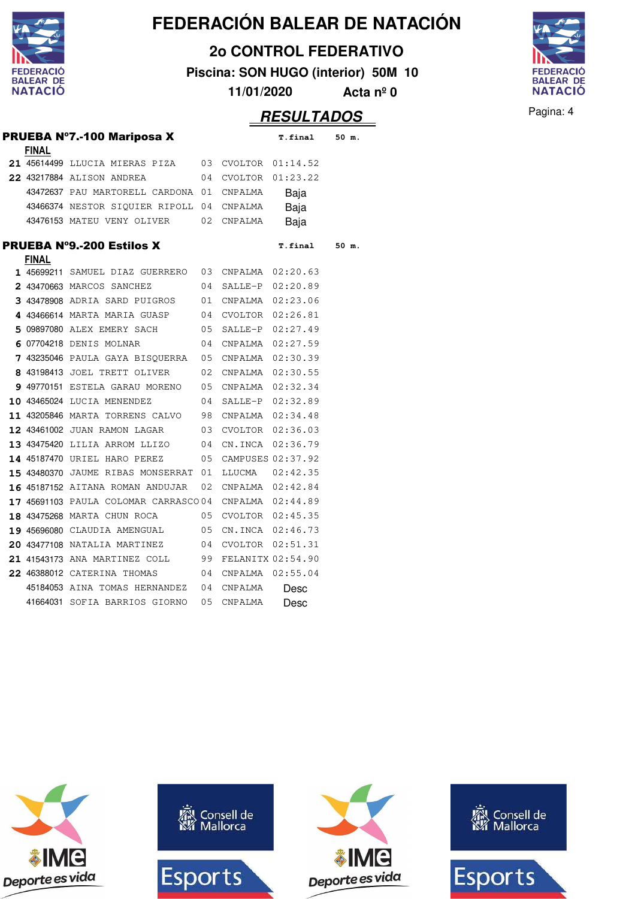

**2o CONTROL FEDERATIVO**

**Piscina: SON HUGO (interior) 50M 10**

**11/01/2020 Acta nº 0**



|              |                                                        |    |            | <i><b>RESULTADOS</b></i> |       |  |
|--------------|--------------------------------------------------------|----|------------|--------------------------|-------|--|
| <b>FINAL</b> | <b>PRUEBA Nº7.-100 Mariposa X</b>                      |    |            | <b>T.final</b>           | 50 m. |  |
|              | 21 45614499 LLUCIA MIERAS PIZA                         |    |            | 03 CVOLTOR 01:14.52      |       |  |
|              | 22 43217884 ALISON ANDREA                              |    |            | 04 CVOLTOR 01:23.22      |       |  |
|              | 43472637 PAU MARTORELL CARDONA 01 CNPALMA              |    |            | Baja                     |       |  |
|              | 43466374 NESTOR SIQUIER RIPOLL 04                      |    | CNPALMA    | Baja                     |       |  |
|              | 43476153 MATEU VENY OLIVER                             |    | 02 CNPALMA | Baja                     |       |  |
|              | <b>PRUEBA N°9.-200 Estilos X</b>                       |    |            | T.final                  | 50 m. |  |
| <b>FINAL</b> | 1 45699211 SAMUEL DIAZ GUERRERO                        |    |            | 03 CNPALMA 02:20.63      |       |  |
|              | 2 43470663 MARCOS SANCHEZ                              |    |            | 04 SALLE-P 02:20.89      |       |  |
|              | 3 43478908 ADRIA SARD PUIGROS                          |    |            | 01 CNPALMA 02:23.06      |       |  |
|              | 4 43466614 MARTA MARIA GUASP                           |    |            | 04 CVOLTOR 02:26.81      |       |  |
|              | 5 09897080 ALEX EMERY SACH                             |    |            | 05 SALLE-P 02:27.49      |       |  |
|              | 6 07704218 DENIS MOLNAR                                |    |            | 04 CNPALMA 02:27.59      |       |  |
|              | 7 43235046 PAULA GAYA BISQUERRA                        |    |            | 05 CNPALMA 02:30.39      |       |  |
|              | 8 43198413 JOEL TRETT OLIVER                           |    |            | 02 CNPALMA 02:30.55      |       |  |
|              | 9 49770151 ESTELA GARAU MORENO                         |    |            | 05 CNPALMA 02:32.34      |       |  |
|              | <b>10 43465024 LUCIA MENENDEZ</b>                      |    |            | 04 SALLE-P 02:32.89      |       |  |
|              | 11 43205846 MARTA TORRENS CALVO                        |    |            | 98 CNPALMA 02:34.48      |       |  |
|              | 12 43461002 JUAN RAMON LAGAR                           |    |            | 03 CVOLTOR 02:36.03      |       |  |
|              | 13 43475420 LILIA ARROM LLIZO                          |    |            | 04 CN. INCA 02:36.79     |       |  |
|              | 14 45187470 URIEL HARO PEREZ                           | 05 |            | CAMPUSES 02:37.92        |       |  |
|              | 15 43480370 JAUME RIBAS MONSERRAT                      | 01 | LLUCMA     | 02:42.35                 |       |  |
|              | 16 45187152 AITANA ROMAN ANDUJAR                       | 02 |            | CNPALMA 02:42.84         |       |  |
|              | 17 45691103 PAULA COLOMAR CARRASCO 04 CNPALMA 02:44.89 |    |            |                          |       |  |
|              | 18 43475268 MARTA CHUN ROCA                            |    |            | 05 CVOLTOR 02:45.35      |       |  |
|              | 19 45696080 CLAUDIA AMENGUAL                           |    |            | 05 CN.INCA 02:46.73      |       |  |
|              | 20 43477108 NATALIA MARTINEZ                           |    |            | 04 CVOLTOR 02:51.31      |       |  |
|              | 21 41543173 ANA MARTINEZ COLL                          |    |            | 99 FELANITX 02:54.90     |       |  |
|              | 22 46388012 CATERINA THOMAS                            |    |            | 04 CNPALMA 02:55.04      |       |  |
|              | 45184053 AINA TOMAS HERNANDEZ                          | 04 | CNPALMA    | Desc                     |       |  |
|              | 41664031 SOFIA BARRIOS GIORNO                          | 05 | CNPALMA    | Desc                     |       |  |

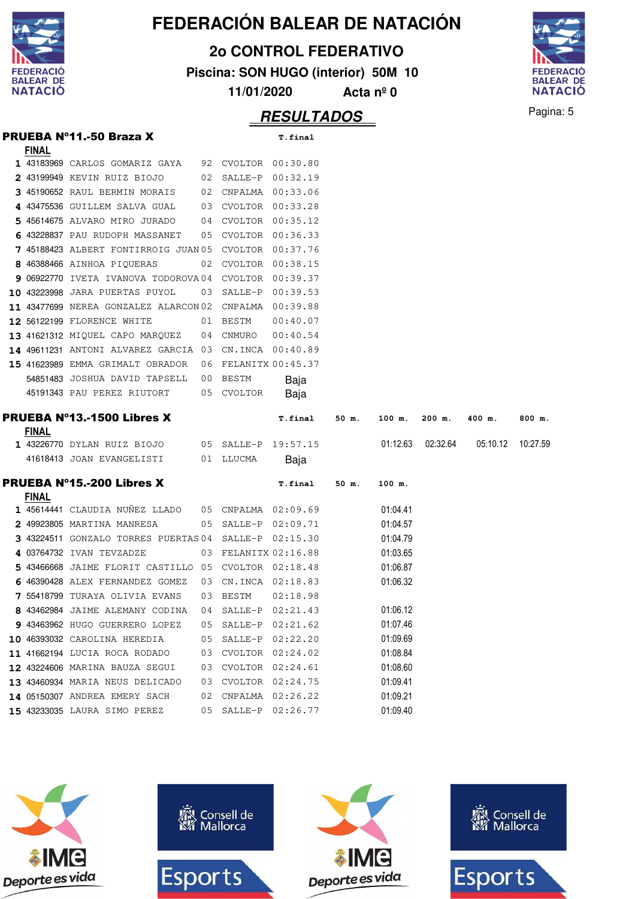

**2o CONTROL FEDERATIVO**

**Piscina: SON HUGO (interior) 50M 10**

**11/01/2020 Acta nº 0**



**RESULTADOS** Pagina: 5

|              | <b>PRUEBA Nº11.-50 Braza X</b>                        |        |                      | T.final             |       |          |          |          |          |
|--------------|-------------------------------------------------------|--------|----------------------|---------------------|-------|----------|----------|----------|----------|
| <b>FINAL</b> |                                                       |        |                      |                     |       |          |          |          |          |
|              | <b>1</b> 43183969 CARLOS GOMARIZ GAYA                 |        | 92 CVOLTOR 00:30.80  |                     |       |          |          |          |          |
|              | 2 43199949 KEVIN RUIZ BIOJO                           | 02     | SALLE-P              | 00:32.19            |       |          |          |          |          |
|              | 3 45190652 RAUL BERMIN MORAIS                         |        | 02 CNPALMA 00:33.06  |                     |       |          |          |          |          |
|              | 4 43475536 GUILLEM SALVA GUAL                         | 03     | CVOLTOR 00:33.28     |                     |       |          |          |          |          |
|              | 5 45614675 ALVARO MIRO JURADO                         | 04     | CVOLTOR 00:35.12     |                     |       |          |          |          |          |
|              | 6 43228837 PAU RUDOPH MASSANET                        | 05     |                      | CVOLTOR 00:36.33    |       |          |          |          |          |
|              | 7 45188423 ALBERT FONTIRROIG JUAN 05 CVOLTOR 00:37.76 |        |                      |                     |       |          |          |          |          |
|              | 8 46388466 AINHOA PIQUERAS                            |        | 02 CVOLTOR 00:38.15  |                     |       |          |          |          |          |
|              | 9 06922770 IVETA IVANOVA TODOROVA04 CVOLTOR 00:39.37  |        |                      |                     |       |          |          |          |          |
|              | 10 43223998 JARA PUERTAS PUYOL                        |        | 03 SALLE-P           | 00:39.53            |       |          |          |          |          |
|              | 11 43477699 NEREA GONZALEZ ALARCON02 CNPALMA 00:39.88 |        |                      |                     |       |          |          |          |          |
|              | <b>12 56122199 FLORENCE WHITE</b>                     |        | 01 BESTM             | 00:40.07            |       |          |          |          |          |
|              | 13 41621312 MIQUEL CAPO MARQUEZ                       | 04     | CNMURO               | 00:40.54            |       |          |          |          |          |
|              | 14 49611231 ANTONI ALVAREZ GARCIA 03                  |        |                      | CN.INCA 00:40.89    |       |          |          |          |          |
|              | 15 41623989 EMMA GRIMALT OBRADOR                      |        | 06 FELANITX 00:45.37 |                     |       |          |          |          |          |
|              | 54851483 JOSHUA DAVID TAPSELL                         |        | 00 BESTM             | Baja                |       |          |          |          |          |
|              | 45191343 PAU PEREZ RIUTORT                            |        | 05 CVOLTOR           | Baja                |       |          |          |          |          |
|              | <b>PRUEBA Nº13.-1500 Libres X</b>                     |        |                      | T.final             | 50 m. | 100 m.   | 200 m.   | 400 m.   | 800 m.   |
| <b>FINAL</b> |                                                       |        |                      |                     |       |          |          |          |          |
|              | <b>1</b> 43226770 DYLAN RUIZ BIOJO                    |        | 05 SALLE-P 19:57.15  |                     |       | 01:12.63 | 02:32.64 | 05:10.12 | 10:27.59 |
|              | 41618413 JOAN EVANGELISTI                             |        | 01 LLUCMA            | Baja                |       |          |          |          |          |
|              | <b>PRUEBA Nº15.-200 Libres X</b>                      |        |                      | T.final             | 50 m. | 100 m.   |          |          |          |
| <b>FINAL</b> |                                                       |        |                      |                     |       |          |          |          |          |
|              | 1 45614441 CLAUDIA NUÑEZ LLADO                        |        |                      | 05 CNPALMA 02:09.69 |       | 01:04.41 |          |          |          |
|              | 2 49923805 MARTINA MANRESA                            |        | 05 SALLE-P 02:09.71  |                     |       | 01:04.57 |          |          |          |
|              | 3 43224511 GONZALO TORRES PUERTAS 04 SALLE-P 02:15.30 |        |                      |                     |       | 01:04.79 |          |          |          |
|              | 4 03764732 IVAN TEVZADZE                              |        | 03 FELANITX 02:16.88 |                     |       | 01:03.65 |          |          |          |
|              | 5 43466668 JAIME FLORIT CASTILLO 05 CVOLTOR 02:18.48  |        |                      |                     |       | 01:06.87 |          |          |          |
|              | 6 46390428 ALEX FERNANDEZ GOMEZ                       | 03     |                      | CN.INCA 02:18.83    |       | 01:06.32 |          |          |          |
|              | <b>7</b> 55418799 TURAYA OLIVIA EVANS                 |        | 03 BESTM             | 02:18.98            |       |          |          |          |          |
|              | 8 43462984 JAIME ALEMANY CODINA                       | $0\,4$ | $SALLE-P$            | 02:21.43            |       | 01:06.12 |          |          |          |
|              | 9 43463962 HUGO GUERRERO LOPEZ                        | 05     | SALLE-P              | 02:21.62            |       | 01:07.46 |          |          |          |
|              | 10 46393032 CAROLINA HEREDIA                          | 05     | SALLE-P              | 02:22.20            |       | 01:09.69 |          |          |          |
|              | 11 41662194 LUCIA ROCA RODADO                         | 03     | CVOLTOR              | 02:24.02            |       | 01:08.84 |          |          |          |
|              | 12 43224606 MARINA BAUZA SEGUI                        | 03     | CVOLTOR              | 02:24.61            |       | 01:08.60 |          |          |          |
|              | 13 43460934 MARIA NEUS DELICADO                       | 03     | CVOLTOR              | 02:24.75            |       | 01:09.41 |          |          |          |
|              | 14 05150307 ANDREA EMERY SACH                         |        |                      |                     |       |          |          |          |          |
|              |                                                       | 02     | CNPALMA              | 02:26.22            |       | 01:09.21 |          |          |          |

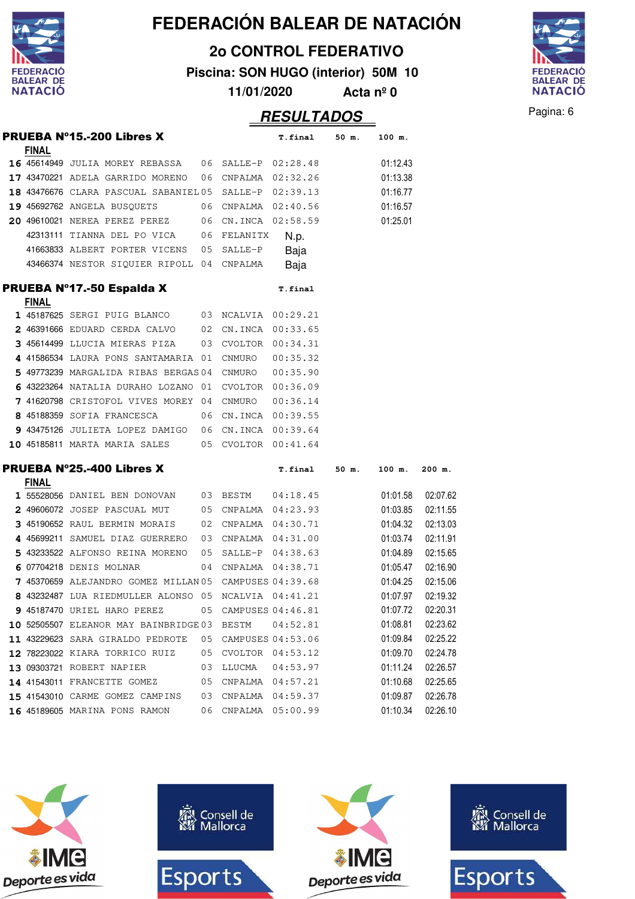|                  |                                                                                                            |    |                  | FEDERACIÓN BALEAR DE NATACIÓN       |                    |                      |                      |
|------------------|------------------------------------------------------------------------------------------------------------|----|------------------|-------------------------------------|--------------------|----------------------|----------------------|
|                  |                                                                                                            |    |                  | <b>20 CONTROL FEDERATIVO</b>        |                    |                      |                      |
| <b>DERACIO</b>   |                                                                                                            |    |                  |                                     |                    |                      |                      |
| <b>BALEAR DE</b> |                                                                                                            |    |                  | Piscina: SON HUGO (interior) 50M 10 |                    |                      |                      |
| <b>NATACIÓ</b>   |                                                                                                            |    | 11/01/2020       |                                     | Acta $n^{\circ}$ 0 |                      |                      |
|                  |                                                                                                            |    |                  | <b>RESULTADOS</b>                   |                    |                      |                      |
|                  | PRUEBA Nº15.-200 Libres X                                                                                  |    |                  | T.final                             | 50 m.              | 100 m.               |                      |
| <b>FINAL</b>     |                                                                                                            |    |                  |                                     |                    |                      |                      |
|                  | 16 45614949 JULIA MOREY REBASSA                                                                            | 06 | SALLE-P          | 02:28.48                            |                    | 01:12.43             |                      |
|                  | 17 43470221 ADELA GARRIDO MORENO                                                                           | 06 | CNPALMA          | 02:32.26                            |                    | 01:13.38             |                      |
|                  | 18 43476676 CLARA PASCUAL SABANIEL 05                                                                      |    | SALLE-P          | 02:39.13                            |                    | 01:16.77             |                      |
|                  | 19 45692762 ANGELA BUSQUETS                                                                                | 06 | CNPALMA          | 02:40.56                            |                    | 01:16.57             |                      |
|                  | 20 49610021 NEREA PEREZ PEREZ                                                                              | 06 | CN.INCA          | 02:58.59                            |                    | 01:25.01             |                      |
|                  | 42313111 TIANNA DEL PO VICA                                                                                | 06 | FELANITX         | N.p.                                |                    |                      |                      |
|                  | 41663833 ALBERT PORTER VICENS                                                                              | 05 | SALLE-P          | Baja                                |                    |                      |                      |
|                  | 43466374 NESTOR SIQUIER RIPOLL 04                                                                          |    | CNPALMA          | Baja                                |                    |                      |                      |
|                  | PRUEBA Nº17.-50 Espalda X                                                                                  |    |                  | T.final                             |                    |                      |                      |
| <b>FINAL</b>     |                                                                                                            |    |                  |                                     |                    |                      |                      |
|                  | 1 45187625 SERGI PUIG BLANCO                                                                               | 03 | NCALVIA          | 00:29.21                            |                    |                      |                      |
|                  | 2 46391666 EDUARD CERDA CALVO                                                                              | 02 | CN.INCA          | 00:33.65                            |                    |                      |                      |
|                  | 3 45614499 LLUCIA MIERAS PIZA                                                                              | 03 | CVOLTOR          | 00:34.31                            |                    |                      |                      |
|                  | 4 41586534 LAURA PONS SANTAMARIA 01                                                                        |    | CNMURO           | 00:35.32                            |                    |                      |                      |
|                  | 5 49773239 MARGALIDA RIBAS BERGAS 04                                                                       |    | CNMURO           | 00:35.90                            |                    |                      |                      |
|                  | 6 43223264 NATALIA DURAHO LOZANO                                                                           | 01 | CVOLTOR          | 00:36.09                            |                    |                      |                      |
|                  | 7 41620798 CRISTOFOL VIVES MOREY                                                                           | 04 | <b>CNMURO</b>    | 00:36.14                            |                    |                      |                      |
|                  | 8 45188359 SOFIA FRANCESCA                                                                                 | 06 |                  | CN.INCA 00:39.55                    |                    |                      |                      |
|                  | 9 43475126 JULIETA LOPEZ DAMIGO                                                                            | 06 | CN.INCA 00:39.64 |                                     |                    |                      |                      |
|                  | 10 45185811 MARTA MARIA SALES                                                                              | 05 | CVOLTOR          | 00:41.64                            |                    |                      |                      |
|                  | <b>PRUEBA Nº25.-400 Libres X</b>                                                                           |    |                  | T.final                             | 50 m.              | 100 m.               | $200$ m.             |
| <b>FINAL</b>     |                                                                                                            |    |                  |                                     |                    |                      |                      |
|                  | 1 55528056 DANIEL BEN DONOVAN 03 BESTM                                                                     |    |                  | 04:18.45                            |                    | 01:01.58             | 02:07.62             |
|                  | 2 49606072 JOSEP PASCUAL MUT 05 CNPALMA 04:23.93                                                           |    |                  |                                     |                    | 01:03.85             | 02:11.55             |
|                  | 3 45190652 RAUL BERMIN MORAIS 02 CNPALMA 04:30.71                                                          |    |                  |                                     |                    | 01:04.32             | 02:13.03<br>02:11.91 |
|                  | 4 45699211 SAMUEL DIAZ GUERRERO 03 CNPALMA 04:31.00<br>5 43233522 ALFONSO REINA MORENO 05 SALLE-P 04:38.63 |    |                  |                                     |                    | 01:03.74<br>01:04.89 |                      |
|                  | 6 07704218 DENIS MOLNAR 04 CNPALMA 04:38.71                                                                |    |                  |                                     |                    |                      | 02:15.65             |
|                  | 7 45370659 ALEJANDRO GOMEZ MILLAN 05 CAMPUSES 04:39.68                                                     |    |                  |                                     |                    | 01:05.47             | 02:16.90             |
|                  |                                                                                                            |    |                  |                                     |                    | 01:04.25             | 02:15.06             |
|                  | 8 43232487 LUA RIEDMULLER ALONSO 05 NCALVIA 04:41.21                                                       |    |                  |                                     |                    | 01:07.97             | 02:19.32             |
|                  | 9 45187470 URIEL HARO PEREZ 05 CAMPUSES 04:46.81                                                           |    |                  |                                     |                    | 01:07.72             | 02:20.31             |
|                  | 10 52505507 ELEANOR MAY BAINBRIDGE 03 BESTM                                                                |    |                  | 04:52.81                            |                    | 01:08.81             | 02:23.62             |
|                  | 11 43229623 SARA GIRALDO PEDROTE  05 CAMPUSES 04:53.06                                                     |    |                  |                                     |                    | 01:09.84             | 02:25.22             |
|                  | 12 78223022 KIARA TORRICO RUIZ 05 CVOLTOR 04:53.12                                                         |    |                  |                                     |                    | 01:09.70             | 02:24.78             |
|                  | 13 09303721 ROBERT NAPIER 03 LLUCMA 04:53.97                                                               |    |                  |                                     |                    | 01:11.24             | 02:26.57             |
|                  | 14 41543011 FRANCETTE GOMEZ 05 CNPALMA 04:57.21<br>15 41543010 CARME GOMEZ CAMPINS 03 CNPALMA 04:59.37     |    |                  |                                     |                    | 01:10.68             | 02:25.65             |
|                  |                                                                                                            |    |                  |                                     |                    | 01:09.87             | 02:26.78             |
|                  | 16 45189605 MARINA PONS RAMON 06 CNPALMA 05:00.99                                                          |    |                  |                                     |                    | 01:10.34             | 02:26.10             |





Pagina: 6

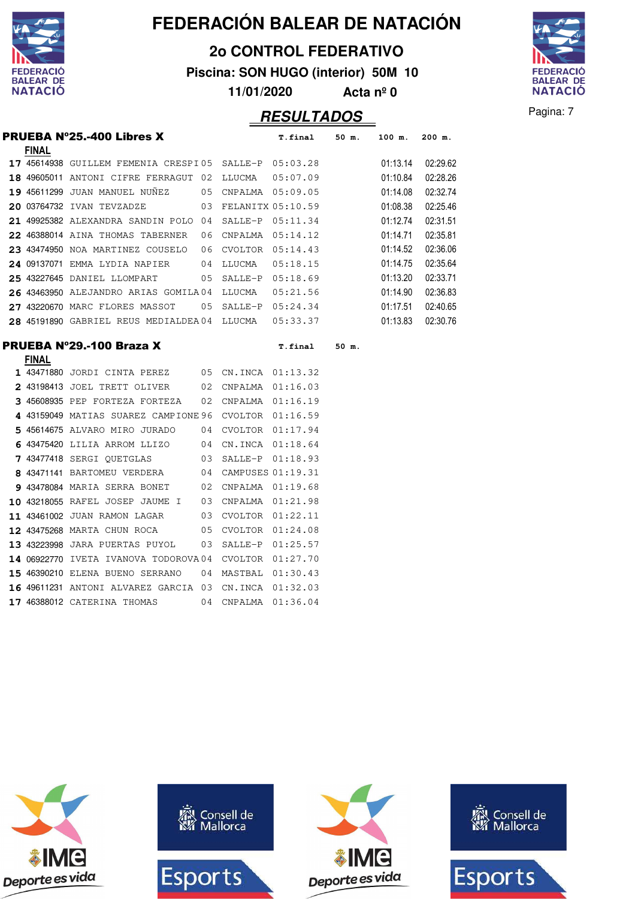

**2o CONTROL FEDERATIVO**

**Piscina: SON HUGO (interior) 50M 10**

**11/01/2020 Acta nº 0**

# **RESULTADOS** Pagina: 7



|              | <b>PRUEBA Nº25.-400 Libres X</b>                       |      |                      | T.final 50 m.       |       | 100 m.   | $200$ m. |
|--------------|--------------------------------------------------------|------|----------------------|---------------------|-------|----------|----------|
| <b>FINAL</b> |                                                        |      |                      |                     |       |          |          |
|              | 17 45614938 GUILLEM FEMENIA CRESPI05 SALLE-P 05:03.28  |      |                      |                     |       | 01:13.14 | 02:29.62 |
|              | 18 49605011 ANTONI CIFRE FERRAGUT 02                   |      | LLUCMA               | 05:07.09            |       | 01:10.84 | 02:28.26 |
|              | <b>19 45611299 JUAN MANUEL NUNEZ</b>                   |      | 05 CNPALMA 05:09.05  |                     |       | 01:14.08 | 02:32.74 |
|              | 20 03764732 IVAN TEVZADZE                              | 03   |                      | FELANITX 05:10.59   |       | 01:08.38 | 02:25.46 |
|              | 21 49925382 ALEXANDRA SANDIN POLO 04                   |      |                      | SALLE-P 05:11.34    |       | 01:12.74 | 02:31.51 |
|              | 22 46388014 AINA THOMAS TABERNER                       | 06   |                      | CNPALMA 05:14.12    |       | 01:14.71 | 02:35.81 |
|              | 23 43474950 NOA MARTINEZ COUSELO                       | - 06 | $CVOLTOR$ $05:14.43$ |                     |       | 01:14.52 | 02:36.06 |
|              | 24 09137071 EMMA LYDIA NAPIER<br>$\sim$ 04             |      | LLUCMA               | 05:18.15            |       | 01:14.75 | 02:35.64 |
|              | 25 43227645 DANIEL LLOMPART                            | 05   |                      | SALLE-P 05:18.69    |       | 01:13.20 | 02:33.71 |
|              | 26 43463950 ALEJANDRO ARIAS GOMILA04 LLUCMA            |      |                      | 05:21.56            |       | 01:14.90 | 02:36.83 |
|              | 27 43220670 MARC FLORES MASSOT                         |      |                      | 05 SALLE-P 05:24.34 |       | 01:17.51 | 02:40.65 |
|              | 28 45191890 GABRIEL REUS MEDIALDEA 04 LLUCMA  05:33.37 |      |                      |                     |       | 01:13.83 | 02:30.76 |
|              | PRUEBA N°29.-100 Braza X                               |      |                      | <b>T.final</b>      | 50 m. |          |          |
| <b>FINAL</b> | 1 43471880 JORDI CINTA PEREZ 05 CN.INCA 01:13.32       |      |                      |                     |       |          |          |
|              | 2 43198413 JOEL TRETT OLIVER 02                        |      | CNPALMA 01:16.03     |                     |       |          |          |
|              | 3 45608935 PEP FORTEZA FORTEZA                         | 02   | CNPALMA 01:16.19     |                     |       |          |          |
|              | 4 43159049 MATIAS SUAREZ CAMPIONE 96                   |      | CVOLTOR 01:16.59     |                     |       |          |          |
|              | 5 45614675 ALVARO MIRO JURADO                          |      |                      |                     |       |          |          |
|              |                                                        | 04   |                      | CVOLTOR 01:17.94    |       |          |          |
|              | 6 43475420 LILIA ARROM LLIZO 04                        |      |                      | CN.INCA 01:18.64    |       |          |          |
|              | 7 43477418 SERGI QUETGLAS                              | 03   |                      | SALLE-P 01:18.93    |       |          |          |
|              | 8 43471141 BARTOMEU VERDERA                            | 04   |                      | CAMPUSES 01:19.31   |       |          |          |
|              | 9 43478084 MARIA SERRA BONET                           | 02   |                      | CNPALMA 01:19.68    |       |          |          |
|              | 10 43218055 RAFEL JOSEP JAUME I                        | 03   | CNPALMA 01:21.98     |                     |       |          |          |
|              | 11 43461002 JUAN RAMON LAGAR                           | 03   | CVOLTOR 01:22.11     |                     |       |          |          |

12 43475268 MARTA CHUN ROCA 05 CVOLTOR 01:24.08 43223998 JARA PUERTAS PUYOL 03 SALLE-P 01:25.57 14 06922770 IVETA IVANOVA TODOROVA 04 CVOLTOR 01:27.70 46390210 ELENA BUENO SERRANO 04 MASTBAL 01:30.43 16 49611231 ANTONI ALVAREZ GARCIA 03 CN.INCA 01:32.03 46388012 CATERINA THOMAS 04 CNPALMA 01:36.04

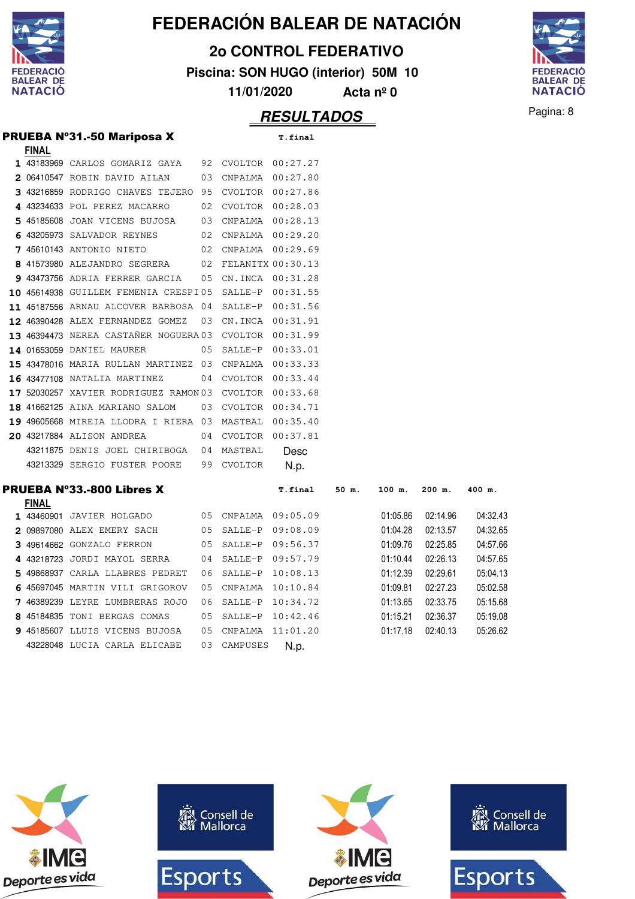

**2o CONTROL FEDERATIVO**

**Piscina: SON HUGO (interior) 50M 10**

**11/01/2020 Acta nº 0**

#### **RESULTADOS** Pagina: 8



|              | <b>PRUEBA Nº31.-50 Mariposa X</b>                     |    |                      | <b>T.final</b> |       |        |          |  |  |  |  |        |
|--------------|-------------------------------------------------------|----|----------------------|----------------|-------|--------|----------|--|--|--|--|--------|
| <b>FINAL</b> |                                                       |    |                      |                |       |        |          |  |  |  |  |        |
|              | 1 43183969 CARLOS GOMARIZ GAYA                        | 92 | CVOLTOR 00:27.27     |                |       |        |          |  |  |  |  |        |
|              | 2 06410547 ROBIN DAVID AILAN                          | 03 | CNPALMA              | 00:27.80       |       |        |          |  |  |  |  |        |
|              | 3 43216859 RODRIGO CHAVES TEJERO                      | 95 | CVOLTOR 00:27.86     |                |       |        |          |  |  |  |  |        |
|              | 4 43234633 POL PEREZ MACARRO                          | 02 | CVOLTOR 00:28.03     |                |       |        |          |  |  |  |  |        |
|              | 5 45185608 JOAN VICENS BUJOSA                         | 03 | CNPALMA 00:28.13     |                |       |        |          |  |  |  |  |        |
|              | 6 43205973 SALVADOR REYNES                            | 02 | CNPALMA 00:29.20     |                |       |        |          |  |  |  |  |        |
|              | 7 45610143 ANTONIO NIETO                              | 02 | CNPALMA              | 00:29.69       |       |        |          |  |  |  |  |        |
|              | 8 41573980 ALEJANDRO SEGRERA                          |    | 02 FELANITX 00:30.13 |                |       |        |          |  |  |  |  |        |
|              | 9 43473756 ADRIA FERRER GARCIA                        |    | 05 CN.INCA 00:31.28  |                |       |        |          |  |  |  |  |        |
|              | 10 45614938 GUILLEM FEMENIA CRESPI05 SALLE-P          |    |                      | 00:31.55       |       |        |          |  |  |  |  |        |
|              | 11 45187556 ARNAU ALCOVER BARBOSA 04 SALLE-P          |    |                      | 00:31.56       |       |        |          |  |  |  |  |        |
|              | 12 46390428 ALEX FERNANDEZ GOMEZ                      |    | 03 CN.INCA 00:31.91  |                |       |        |          |  |  |  |  |        |
|              | 13 46394473 NEREA CASTAÑER NOGUERA03 CVOLTOR 00:31.99 |    |                      |                |       |        |          |  |  |  |  |        |
|              | <b>14 01653059 DANIEL MAURER</b>                      | 05 | SALLE-P              | 00:33.01       |       |        |          |  |  |  |  |        |
|              | 15 43478016 MARIA RULLAN MARTINEZ                     |    | 03 CNPALMA           | 00:33.33       |       |        |          |  |  |  |  |        |
|              | <b>16 43477108 NATALIA MARTINEZ</b>                   |    | 04 CVOLTOR 00:33.44  |                |       |        |          |  |  |  |  |        |
|              | 17 52030257 XAVIER RODRIGUEZ RAMON 03                 |    | CVOLTOR              | 00:33.68       |       |        |          |  |  |  |  |        |
|              | 18 41662125 AINA MARIANO SALOM                        | 03 | CVOLTOR              | 00:34.71       |       |        |          |  |  |  |  |        |
|              | 19 49605668 MIREIA LLODRA I RIERA 03 MASTBAL          |    |                      | 00:35.40       |       |        |          |  |  |  |  |        |
|              | 20 43217884 ALISON ANDREA                             | 04 | <b>CVOLTOR</b>       | 00:37.81       |       |        |          |  |  |  |  |        |
|              | 43211875 DENIS JOEL CHIRIBOGA                         | 04 | MASTBAL              | Desc           |       |        |          |  |  |  |  |        |
|              | 43213329 SERGIO FUSTER POORE                          | 99 | CVOLTOR              | N.p.           |       |        |          |  |  |  |  |        |
|              | <b>PRUEBA Nº33.-800 Libres X</b>                      |    |                      | T.final        | 50 m. | 100 m. | $200$ m. |  |  |  |  | 400 m. |
| <b>FINAL</b> |                                                       |    |                      |                |       |        |          |  |  |  |  |        |

| <b>FINAL</b> |                |                                                                                                                                                                                                                                                                                                    |         |                                                                                                        |                                                             |          |          |
|--------------|----------------|----------------------------------------------------------------------------------------------------------------------------------------------------------------------------------------------------------------------------------------------------------------------------------------------------|---------|--------------------------------------------------------------------------------------------------------|-------------------------------------------------------------|----------|----------|
|              | JAVIER HOLGADO |                                                                                                                                                                                                                                                                                                    |         | 09:05.09                                                                                               | 01:05.86                                                    | 02:14.96 | 04:32.43 |
|              |                |                                                                                                                                                                                                                                                                                                    |         |                                                                                                        | 01:04.28                                                    | 02:13.57 | 04:32.65 |
|              |                |                                                                                                                                                                                                                                                                                                    |         | 09:56.37                                                                                               | 01:09.76                                                    | 02:25.85 | 04:57.66 |
|              |                |                                                                                                                                                                                                                                                                                                    |         |                                                                                                        | 01:10.44                                                    | 02:26.13 | 04:57.65 |
|              |                | 06                                                                                                                                                                                                                                                                                                 |         |                                                                                                        | 01:12.39                                                    | 02:29.61 | 05:04.13 |
|              |                |                                                                                                                                                                                                                                                                                                    |         | 10:10.84                                                                                               | 01:09.81                                                    | 02:27.23 | 05:02.58 |
|              |                | 06                                                                                                                                                                                                                                                                                                 |         |                                                                                                        | 01:13.65                                                    | 02:33.75 | 05:15.68 |
|              |                | 05                                                                                                                                                                                                                                                                                                 | SALLE-P | 10:42.46                                                                                               | 01:15.21                                                    | 02:36.37 | 05:19.08 |
|              |                |                                                                                                                                                                                                                                                                                                    |         | 11:01.20                                                                                               | 01:17.18                                                    | 02:40.13 | 05:26.62 |
|              |                |                                                                                                                                                                                                                                                                                                    |         | N.p.                                                                                                   |                                                             |          |          |
|              | 1 43460901     | 2 09897080 ALEX EMERY SACH<br>3 49614662 GONZALO FERRON<br>4 43218723 JORDI MAYOL SERRA<br>5 49868937 CARLA LLABRES PEDRET<br>6 45697045 MARTIN VILI GRIGOROV<br>7 46389239 LEYRE LUMBRERAS ROJO<br>8 45184835 TONI BERGAS COMAS<br>9 45185607 LLUIS VICENS BUJOSA<br>43228048 LUCIA CARLA ELICABE |         | 05 CNPALMA<br>05 SALLE-P<br>05 SALLE-P<br>04 SALLE-P<br>SALLE-P<br>05 CNPALMA<br>SALLE-P<br>05 CNPALMA | 09:08.09<br>09:57.79<br>10:08.13<br>10:34.72<br>03 CAMPUSES |          |          |

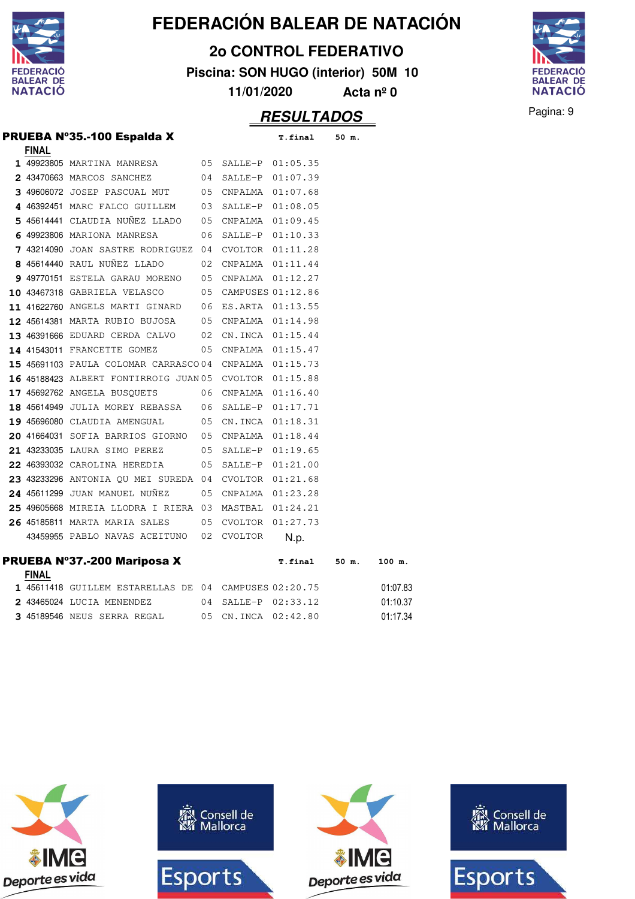

**2o CONTROL FEDERATIVO**

**Piscina: SON HUGO (interior) 50M 10**

**FEDERACIÓ** BALEAR DE<br>NATACIÓ

**11/01/2020 Acta nº 0**

#### **RESULTADOS** Pagina: 9

| <b>PRUEBA Nº35.-100 Espalda X</b> | T.final 50 m. |  |
|-----------------------------------|---------------|--|
|                                   |               |  |

| <b>FINAL</b> |                                                            |    |                     |               |          |
|--------------|------------------------------------------------------------|----|---------------------|---------------|----------|
|              | 1 49923805 MARTINA MANRESA 65 SALLE-P 01:05.35             |    |                     |               |          |
|              | 2 43470663 MARCOS SANCHEZ                                  |    | 04 SALLE-P 01:07.39 |               |          |
|              | 3 49606072 JOSEP PASCUAL MUT 05 CNPALMA 01:07.68           |    |                     |               |          |
|              | 4 46392451 MARC FALCO GUILLEM 03 SALLE-P 01:08.05          |    |                     |               |          |
|              | 5 45614441 CLAUDIA NUÑEZ LLADO 05 CNPALMA 01:09.45         |    |                     |               |          |
|              | 6 49923806 MARIONA MANRESA                                 | 06 | SALLE-P             | 01:10.33      |          |
|              | 7 43214090 JOAN SASTRE RODRIGUEZ 04                        |    | CVOLTOR 01:11.28    |               |          |
|              | <b>8</b> 45614440 RAUL NUÑEZ LLADO $02$ CNPALMA $01:11.44$ |    |                     |               |          |
|              | 9 49770151 ESTELA GARAU MORENO 05 CNPALMA 01:12.27         |    |                     |               |          |
|              | 10 43467318 GABRIELA VELASCO 05 CAMPUSES 01:12.86          |    |                     |               |          |
|              | 11 41622760 ANGELS MARTI GINARD 06 ES.ARTA 01:13.55        |    |                     |               |          |
|              | 12 45614381 MARTA RUBIO BUJOSA 05 CNPALMA 01:14.98         |    |                     |               |          |
|              | 13 46391666 EDUARD CERDA CALVO 02 CN.INCA 01:15.44         |    |                     |               |          |
|              | <b>14 41543011 FRANCETTE GOMEZ</b>                         |    | 05 CNPALMA 01:15.47 |               |          |
|              | 15 45691103 PAULA COLOMAR CARRASCO04 CNPALMA 01:15.73      |    |                     |               |          |
|              | 16 45188423 ALBERT FONTIRROIG JUAN 05 CVOLTOR 01:15.88     |    |                     |               |          |
|              | 17 45692762 ANGELA BUSQUETS 06 CNPALMA 01:16.40            |    |                     |               |          |
|              | 18 45614949 JULIA MOREY REBASSA 06 SALLE-P 01:17.71        |    |                     |               |          |
|              | 19 45696080 CLAUDIA AMENGUAL 05 CN.INCA 01:18.31           |    |                     |               |          |
|              | 20 41664031 SOFIA BARRIOS GIORNO 05 CNPALMA 01:18.44       |    |                     |               |          |
|              | 21 43233035 LAURA SIMO PEREZ 05                            |    | SALLE-P             | 01:19.65      |          |
|              | 22 46393032 CAROLINA HEREDIA                               | 05 | SALLE-P 01:21.00    |               |          |
|              | 23 43233296 ANTONIA QU MEI SUREDA 04 CVOLTOR 01:21.68      |    |                     |               |          |
|              | 05<br>24 45611299 JUAN MANUEL NUNEZ                        |    | CNPALMA 01:23.28    |               |          |
|              | 25 49605668 MIREIA LLODRA I RIERA 03                       |    | MASTBAL 01:24.21    |               |          |
|              | 26 45185811 MARTA MARIA SALES                              |    | 05 CVOLTOR 01:27.73 |               |          |
|              | 43459955 PABLO NAVAS ACEITUNO 02 CVOLTOR                   |    |                     | N.p.          |          |
|              | <b>PRUEBA Nº37.-200 Mariposa X</b>                         |    |                     | T.final 50 m. | 100 m.   |
| <b>FINAL</b> | 1 45611418 GUILLEM ESTARELLAS DE 04 CAMPUSES 02:20.75      |    |                     |               | 01:07.83 |
|              |                                                            |    |                     |               |          |

|  | 1 45611418 GUILLEM ESTARELLAS DE 04 CAMPUSES 02:20.75 |  |                         | 01:07.83 |
|--|-------------------------------------------------------|--|-------------------------|----------|
|  | 2 43465024 LUCIA MENENDEZ                             |  | $04$ SALLE-P $02:33.12$ | 01:10.37 |
|  | 3 45189546 NEUS SERRA REGAL                           |  | 05 CN.INCA 02:42.80     | 01:17.34 |

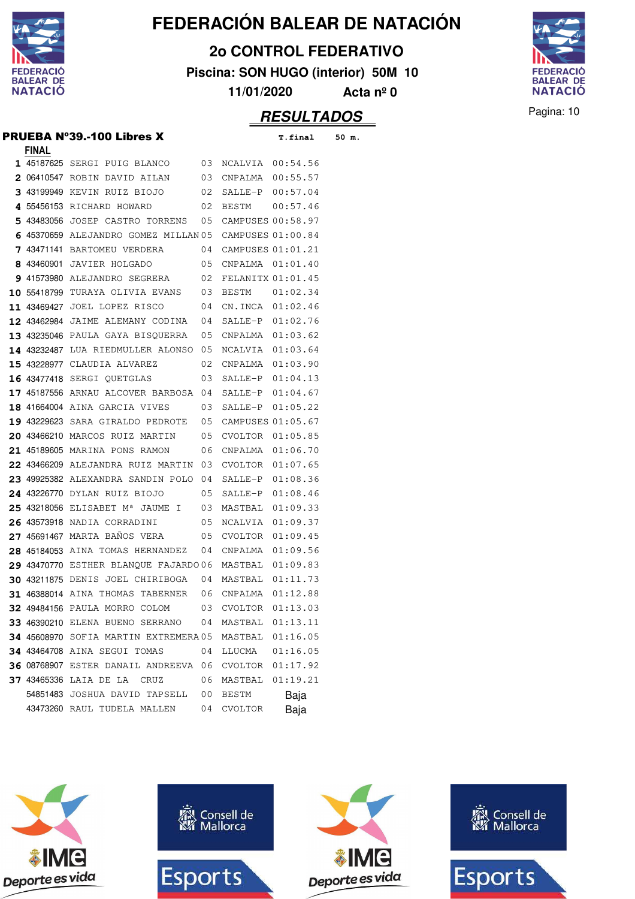

**2o CONTROL FEDERATIVO**

**Piscina: SON HUGO (interior) 50M 10**



**11/01/2020 Acta nº 0**

#### **RESULTADOS** Pagina: 10

PRUEBA Nº39.-100 Libres X **T.final 50 m.**

| <b>FINAL</b> |                                            |    |                   |          |
|--------------|--------------------------------------------|----|-------------------|----------|
|              | 1 45187625 SERGI PUIG BLANCO               | 03 | NCALVIA 00:54.56  |          |
|              | <b>2</b> 06410547 ROBIN DAVID AILAN        | 03 | CNPALMA 00:55.57  |          |
|              | 3 43199949 KEVIN RUIZ BIOJO                | 02 | SALLE-P 00:57.04  |          |
|              | 4 55456153 RICHARD HOWARD                  | 02 | BESTM 00:57.46    |          |
|              | 5 43483056 JOSEP CASTRO TORRENS            | 05 | CAMPUSES 00:58.97 |          |
|              | 6 45370659 ALEJANDRO GOMEZ MILLAN 05       |    | CAMPUSES 01:00.84 |          |
|              | 7 43471141 BARTOMEU VERDERA                | 04 | CAMPUSES 01:01.21 |          |
|              | 8 43460901 JAVIER HOLGADO                  | 05 | CNPALMA 01:01.40  |          |
|              | 9 41573980 ALEJANDRO SEGRERA               | 02 | FELANITX 01:01.45 |          |
|              | <b>10 55418799 TURAYA OLIVIA EVANS</b>     | 03 | BESTM             | 01:02.34 |
|              | 11 43469427 JOEL LOPEZ RISCO               | 04 | CN.INCA 01:02.46  |          |
|              | 12 43462984 JAIME ALEMANY CODINA           | 04 | SALLE-P           | 01:02.76 |
|              | 13 43235046 PAULA GAYA BISQUERRA           | 05 | CNPALMA 01:03.62  |          |
|              | 14 43232487 LUA RIEDMULLER ALONSO          | 05 | NCALVIA           | 01:03.64 |
|              | <b>15 43228977 CLAUDIA ALVAREZ</b>         | 02 | CNPALMA           | 01:03.90 |
|              | <b>16 43477418 SERGI OUETGLAS</b>          | 03 | SALLE-P           | 01:04.13 |
|              | 17 45187556 ARNAU ALCOVER BARBOSA          | 04 | SALLE-P           | 01:04.67 |
|              | 18 41664004 AINA GARCIA VIVES              | 03 | SALLE-P           | 01:05.22 |
|              | 19 43229623 SARA GIRALDO PEDROTE           | 05 | CAMPUSES 01:05.67 |          |
|              | 20 43466210 MARCOS RUIZ MARTIN             | 05 | CVOLTOR           | 01:05.85 |
|              | <b>21 45189605 MARINA PONS RAMON</b>       | 06 | CNPALMA           | 01:06.70 |
|              | 22 43466209 ALEJANDRA RUIZ MARTIN          | 03 | CVOLTOR           | 01:07.65 |
|              | 23 49925382 ALEXANDRA SANDIN POLO          | 04 | SALLE-P           | 01:08.36 |
|              | 24 43226770 DYLAN RUIZ BIOJO               | 05 | SALLE-P           | 01:08.46 |
|              | 25 43218056 ELISABET Mª JAUME I            | 03 | MASTBAL           | 01:09.33 |
|              | 26 43573918 NADIA CORRADINI                | 05 | NCALVIA           | 01:09.37 |
|              | 27 45691467 MARTA BAÑOS VERA               | 05 | CVOLTOR           | 01:09.45 |
|              | 28 45184053 AINA TOMAS HERNANDEZ           | 04 | CNPALMA 01:09.56  |          |
|              | 29 43470770 ESTHER BLANOUE FAJARDO 06      |    | MASTBAL 01:09.83  |          |
|              | 30 43211875 DENIS JOEL CHIRIBOGA           | 04 | MASTBAL 01:11.73  |          |
|              | 31 46388014 AINA THOMAS TABERNER           | 06 | CNPALMA 01:12.88  |          |
|              | <b>32 49484156 PAULA MORRO COLOM</b>       | 03 | CVOLTOR 01:13.03  |          |
|              | 33 46390210 ELENA BUENO SERRANO 04 MASTBAL |    |                   | 01:13.11 |
|              | 34 45608970 SOFIA MARTIN EXTREMERA05       |    | MASTBAL           | 01:16.05 |
|              | 34 43464708 AINA SEGUI TOMAS               | 04 | LLUCMA            | 01:16.05 |
|              | 36 08768907 ESTER DANAIL ANDREEVA          | 06 | CVOLTOR           | 01:17.92 |
|              | 37 43465336 LAIA DE LA<br>CRUZ             | 06 | MASTBAL           | 01:19.21 |
|              | 54851483 JOSHUA DAVID TAPSELL              | 00 | BESTM             | Baja     |
|              | 43473260 RAUL TUDELA MALLEN                | 04 | CVOLTOR           | Baja     |